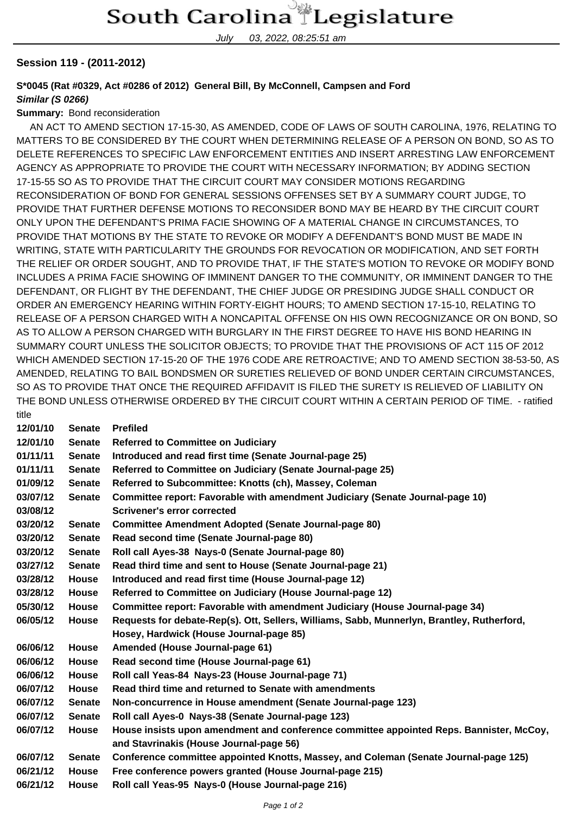July 03, 2022, 08:25:51 am

## **Session 119 - (2011-2012)**

## **S\*0045 (Rat #0329, Act #0286 of 2012) General Bill, By McConnell, Campsen and Ford Similar (S 0266)**

## **Summary:** Bond reconsideration

 AN ACT TO AMEND SECTION 17-15-30, AS AMENDED, CODE OF LAWS OF SOUTH CAROLINA, 1976, RELATING TO MATTERS TO BE CONSIDERED BY THE COURT WHEN DETERMINING RELEASE OF A PERSON ON BOND, SO AS TO DELETE REFERENCES TO SPECIFIC LAW ENFORCEMENT ENTITIES AND INSERT ARRESTING LAW ENFORCEMENT AGENCY AS APPROPRIATE TO PROVIDE THE COURT WITH NECESSARY INFORMATION; BY ADDING SECTION 17-15-55 SO AS TO PROVIDE THAT THE CIRCUIT COURT MAY CONSIDER MOTIONS REGARDING RECONSIDERATION OF BOND FOR GENERAL SESSIONS OFFENSES SET BY A SUMMARY COURT JUDGE, TO PROVIDE THAT FURTHER DEFENSE MOTIONS TO RECONSIDER BOND MAY BE HEARD BY THE CIRCUIT COURT ONLY UPON THE DEFENDANT'S PRIMA FACIE SHOWING OF A MATERIAL CHANGE IN CIRCUMSTANCES, TO PROVIDE THAT MOTIONS BY THE STATE TO REVOKE OR MODIFY A DEFENDANT'S BOND MUST BE MADE IN WRITING, STATE WITH PARTICULARITY THE GROUNDS FOR REVOCATION OR MODIFICATION, AND SET FORTH THE RELIEF OR ORDER SOUGHT, AND TO PROVIDE THAT, IF THE STATE'S MOTION TO REVOKE OR MODIFY BOND INCLUDES A PRIMA FACIE SHOWING OF IMMINENT DANGER TO THE COMMUNITY, OR IMMINENT DANGER TO THE DEFENDANT, OR FLIGHT BY THE DEFENDANT, THE CHIEF JUDGE OR PRESIDING JUDGE SHALL CONDUCT OR ORDER AN EMERGENCY HEARING WITHIN FORTY-EIGHT HOURS; TO AMEND SECTION 17-15-10, RELATING TO RELEASE OF A PERSON CHARGED WITH A NONCAPITAL OFFENSE ON HIS OWN RECOGNIZANCE OR ON BOND, SO AS TO ALLOW A PERSON CHARGED WITH BURGLARY IN THE FIRST DEGREE TO HAVE HIS BOND HEARING IN SUMMARY COURT UNLESS THE SOLICITOR OBJECTS; TO PROVIDE THAT THE PROVISIONS OF ACT 115 OF 2012 WHICH AMENDED SECTION 17-15-20 OF THE 1976 CODE ARE RETROACTIVE; AND TO AMEND SECTION 38-53-50, AS AMENDED, RELATING TO BAIL BONDSMEN OR SURETIES RELIEVED OF BOND UNDER CERTAIN CIRCUMSTANCES, SO AS TO PROVIDE THAT ONCE THE REQUIRED AFFIDAVIT IS FILED THE SURETY IS RELIEVED OF LIABILITY ON THE BOND UNLESS OTHERWISE ORDERED BY THE CIRCUIT COURT WITHIN A CERTAIN PERIOD OF TIME. - ratified

| title    |               |                                                                                            |
|----------|---------------|--------------------------------------------------------------------------------------------|
| 12/01/10 | <b>Senate</b> | <b>Prefiled</b>                                                                            |
| 12/01/10 | <b>Senate</b> | <b>Referred to Committee on Judiciary</b>                                                  |
| 01/11/11 | <b>Senate</b> | Introduced and read first time (Senate Journal-page 25)                                    |
| 01/11/11 | <b>Senate</b> | Referred to Committee on Judiciary (Senate Journal-page 25)                                |
| 01/09/12 | <b>Senate</b> | Referred to Subcommittee: Knotts (ch), Massey, Coleman                                     |
| 03/07/12 | <b>Senate</b> | Committee report: Favorable with amendment Judiciary (Senate Journal-page 10)              |
| 03/08/12 |               | <b>Scrivener's error corrected</b>                                                         |
| 03/20/12 | <b>Senate</b> | <b>Committee Amendment Adopted (Senate Journal-page 80)</b>                                |
| 03/20/12 | <b>Senate</b> | Read second time (Senate Journal-page 80)                                                  |
| 03/20/12 | <b>Senate</b> | Roll call Ayes-38 Nays-0 (Senate Journal-page 80)                                          |
| 03/27/12 | <b>Senate</b> | Read third time and sent to House (Senate Journal-page 21)                                 |
| 03/28/12 | House         | Introduced and read first time (House Journal-page 12)                                     |
| 03/28/12 | <b>House</b>  | Referred to Committee on Judiciary (House Journal-page 12)                                 |
| 05/30/12 | <b>House</b>  | Committee report: Favorable with amendment Judiciary (House Journal-page 34)               |
| 06/05/12 | <b>House</b>  | Requests for debate-Rep(s). Ott, Sellers, Williams, Sabb, Munnerlyn, Brantley, Rutherford, |
|          |               | Hosey, Hardwick (House Journal-page 85)                                                    |
| 06/06/12 | House         | Amended (House Journal-page 61)                                                            |
| 06/06/12 | <b>House</b>  | Read second time (House Journal-page 61)                                                   |
| 06/06/12 | <b>House</b>  | Roll call Yeas-84 Nays-23 (House Journal-page 71)                                          |
| 06/07/12 | <b>House</b>  | Read third time and returned to Senate with amendments                                     |
| 06/07/12 | <b>Senate</b> | Non-concurrence in House amendment (Senate Journal-page 123)                               |
| 06/07/12 | <b>Senate</b> | Roll call Ayes-0 Nays-38 (Senate Journal-page 123)                                         |
| 06/07/12 | <b>House</b>  | House insists upon amendment and conference committee appointed Reps. Bannister, McCoy,    |
|          |               | and Stavrinakis (House Journal-page 56)                                                    |
| 06/07/12 | <b>Senate</b> | Conference committee appointed Knotts, Massey, and Coleman (Senate Journal-page 125)       |
| 06/21/12 | <b>House</b>  | Free conference powers granted (House Journal-page 215)                                    |
| 06/21/12 | <b>House</b>  | Roll call Yeas-95 Nays-0 (House Journal-page 216)                                          |